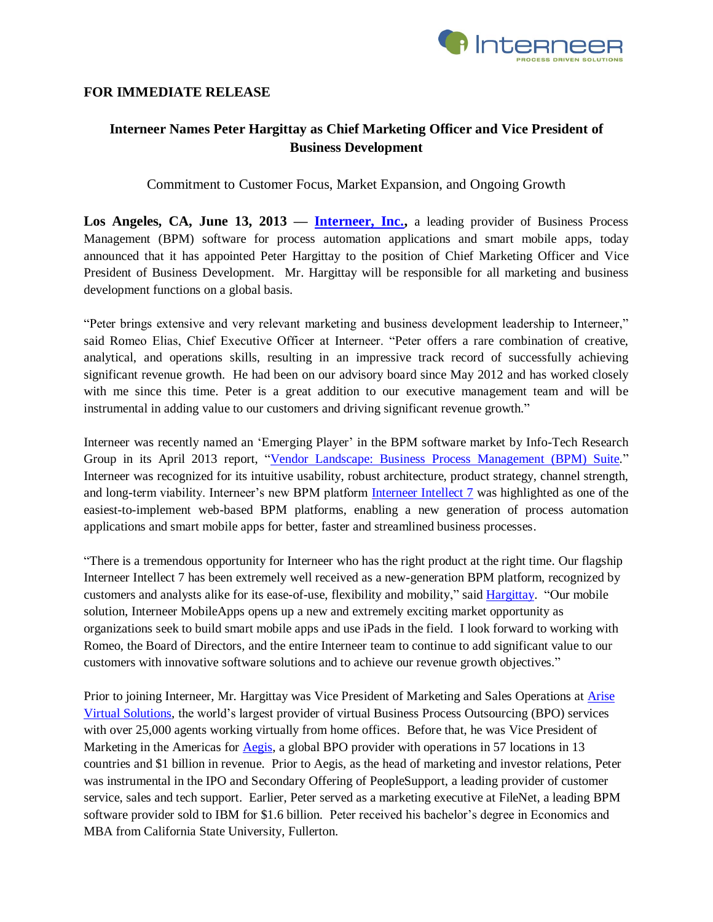

## **FOR IMMEDIATE RELEASE**

## **Interneer Names Peter Hargittay as Chief Marketing Officer and Vice President of Business Development**

Commitment to Customer Focus, Market Expansion, and Ongoing Growth

**Los Angeles, CA, June 13, 2013 — [Interneer, Inc.,](http://www.interneer.com/)** a leading provider of Business Process Management (BPM) software for process automation applications and smart mobile apps, today announced that it has appointed Peter Hargittay to the position of Chief Marketing Officer and Vice President of Business Development. Mr. Hargittay will be responsible for all marketing and business development functions on a global basis.

"Peter brings extensive and very relevant marketing and business development leadership to Interneer," said Romeo Elias, Chief Executive Officer at Interneer. "Peter offers a rare combination of creative, analytical, and operations skills, resulting in an impressive track record of successfully achieving significant revenue growth. He had been on our advisory board since May 2012 and has worked closely with me since this time. Peter is a great addition to our executive management team and will be instrumental in adding value to our customers and driving significant revenue growth."

Interneer was recently named an 'Emerging Player' in the BPM software market by Info-Tech Research Group in its April 2013 report, ["Vendor Landscape: Business Process Management \(BPM\) Suite.](http://www.infotech.com/research/ss/it-vendor-landscape-business-process-management-bpm-suites)" Interneer was recognized for its intuitive usability, robust architecture, product strategy, channel strength, and long-term viability. Interneer's new BPM platform [Interneer Intellect 7](http://www.interneer.com/interneer-intellect/) was highlighted as one of the easiest-to-implement web-based BPM platforms, enabling a new generation of process automation applications and smart mobile apps for better, faster and streamlined business processes.

"There is a tremendous opportunity for Interneer who has the right product at the right time. Our flagship Interneer Intellect 7 has been extremely well received as a new-generation BPM platform, recognized by customers and analysts alike for its ease-of-use, flexibility and mobility," said [Hargittay.](http://www.interneer.com/workflow-business-process-management-software-about-us/our-team/) "Our mobile solution, Interneer MobileApps opens up a new and extremely exciting market opportunity as organizations seek to build smart mobile apps and use iPads in the field. I look forward to working with Romeo, the Board of Directors, and the entire Interneer team to continue to add significant value to our customers with innovative software solutions and to achieve our revenue growth objectives."

Prior to joining Interneer, Mr. Hargittay was Vice President of Marketing and Sales Operations at Arise [Virtual Solutions,](http://www.arise.com/) the world's largest provider of virtual Business Process Outsourcing (BPO) services with over 25,000 agents working virtually from home offices. Before that, he was Vice President of Marketing in the Americas for [Aegis,](http://www.aegisglobal.com/) a global BPO provider with operations in 57 locations in 13 countries and \$1 billion in revenue. Prior to Aegis, as the head of marketing and investor relations, Peter was instrumental in the IPO and Secondary Offering of PeopleSupport, a leading provider of customer service, sales and tech support. Earlier, Peter served as a marketing executive at FileNet, a leading BPM software provider sold to IBM for \$1.6 billion. Peter received his bachelor's degree in Economics and MBA from California State University, Fullerton.